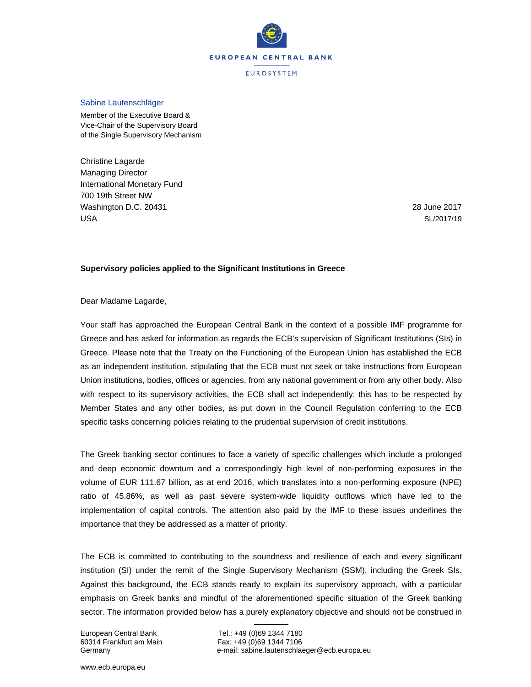

#### Sabine Lautenschläger

Member of the Executive Board & Vice-Chair of the Supervisory Board of the Single Supervisory Mechanism

Christine Lagarde Managing Director International Monetary Fund 700 19th Street NW Washington D.C. 20431 USA

28 June 2017 SL/2017/19

## **Supervisory policies applied to the Significant Institutions in Greece**

Dear Madame Lagarde,

Your staff has approached the European Central Bank in the context of a possible IMF programme for Greece and has asked for information as regards the ECB's supervision of Significant Institutions (SIs) in Greece. Please note that the Treaty on the Functioning of the European Union has established the ECB as an independent institution, stipulating that the ECB must not seek or take instructions from European Union institutions, bodies, offices or agencies, from any national government or from any other body. Also with respect to its supervisory activities, the ECB shall act independently: this has to be respected by Member States and any other bodies, as put down in the Council Regulation conferring to the ECB specific tasks concerning policies relating to the prudential supervision of credit institutions.

The Greek banking sector continues to face a variety of specific challenges which include a prolonged and deep economic downturn and a correspondingly high level of non-performing exposures in the volume of EUR 111.67 billion, as at end 2016, which translates into a non-performing exposure (NPE) ratio of 45.86%, as well as past severe system-wide liquidity outflows which have led to the implementation of capital controls. The attention also paid by the IMF to these issues underlines the importance that they be addressed as a matter of priority.

The ECB is committed to contributing to the soundness and resilience of each and every significant institution (SI) under the remit of the Single Supervisory Mechanism (SSM), including the Greek SIs. Against this background, the ECB stands ready to explain its supervisory approach, with a particular emphasis on Greek banks and mindful of the aforementioned specific situation of the Greek banking sector. The information provided below has a purely explanatory objective and should not be construed in

European Central Bank Tel.: +49 (0)69 1344 7180 60314 Frankfurt am Main Fax: +49 (0)69 1344 7106 Germany e-mail: sabine.lautenschlaeger@ecb.europa.eu

www.ecb.europa.eu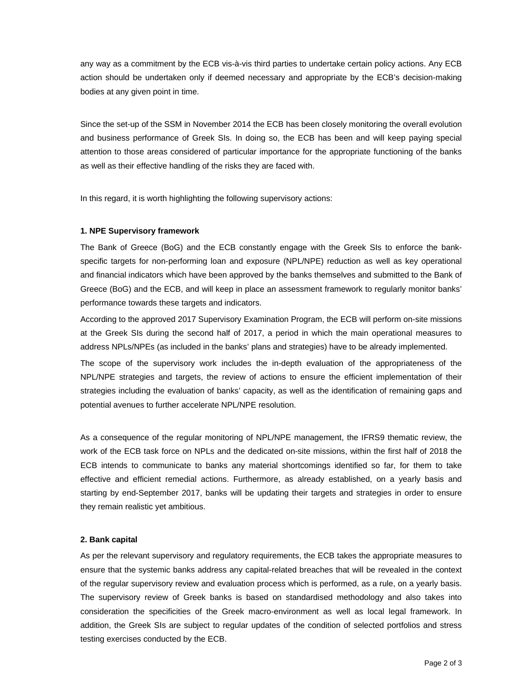any way as a commitment by the ECB vis-à-vis third parties to undertake certain policy actions. Any ECB action should be undertaken only if deemed necessary and appropriate by the ECB's decision-making bodies at any given point in time.

Since the set-up of the SSM in November 2014 the ECB has been closely monitoring the overall evolution and business performance of Greek SIs. In doing so, the ECB has been and will keep paying special attention to those areas considered of particular importance for the appropriate functioning of the banks as well as their effective handling of the risks they are faced with.

In this regard, it is worth highlighting the following supervisory actions:

## **1. NPE Supervisory framework**

The Bank of Greece (BoG) and the ECB constantly engage with the Greek SIs to enforce the bankspecific targets for non-performing loan and exposure (NPL/NPE) reduction as well as key operational and financial indicators which have been approved by the banks themselves and submitted to the Bank of Greece (BoG) and the ECB, and will keep in place an assessment framework to regularly monitor banks' performance towards these targets and indicators.

According to the approved 2017 Supervisory Examination Program, the ECB will perform on-site missions at the Greek SIs during the second half of 2017, a period in which the main operational measures to address NPLs/NPEs (as included in the banks' plans and strategies) have to be already implemented.

The scope of the supervisory work includes the in-depth evaluation of the appropriateness of the NPL/NPE strategies and targets, the review of actions to ensure the efficient implementation of their strategies including the evaluation of banks' capacity, as well as the identification of remaining gaps and potential avenues to further accelerate NPL/NPE resolution.

As a consequence of the regular monitoring of NPL/NPE management, the IFRS9 thematic review, the work of the ECB task force on NPLs and the dedicated on-site missions, within the first half of 2018 the ECB intends to communicate to banks any material shortcomings identified so far, for them to take effective and efficient remedial actions. Furthermore, as already established, on a yearly basis and starting by end-September 2017, banks will be updating their targets and strategies in order to ensure they remain realistic yet ambitious.

#### **2. Bank capital**

As per the relevant supervisory and regulatory requirements, the ECB takes the appropriate measures to ensure that the systemic banks address any capital-related breaches that will be revealed in the context of the regular supervisory review and evaluation process which is performed, as a rule, on a yearly basis. The supervisory review of Greek banks is based on standardised methodology and also takes into consideration the specificities of the Greek macro-environment as well as local legal framework. In addition, the Greek SIs are subject to regular updates of the condition of selected portfolios and stress testing exercises conducted by the ECB.